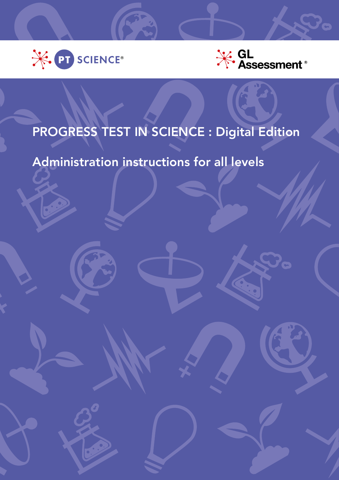



# PROGRESS TEST IN SCIENCE : Digital Edition

## Administration instructions for all levels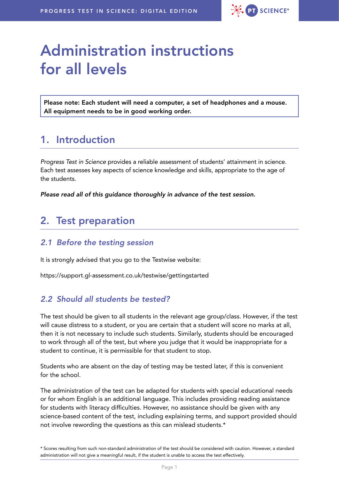

# Administration instructions for all levels

Please note: Each student will need a computer, a set of headphones and a mouse. All equipment needs to be in good working order.

## 1. Introduction

*Progress Test in Science* provides a reliable assessment of students' attainment in science. Each test assesses key aspects of science knowledge and skills, appropriate to the age of the students.

*Please read all of this guidance thoroughly in advance of the test session.*

## 2. Test preparation

#### *2.1 Before the testing session*

It is strongly advised that you go to the Testwise website:

<https://support.gl-assessment.co.uk/testwise/gettingstarted>

#### *2.2 Should all students be tested?*

The test should be given to all students in the relevant age group/class. However, if the test will cause distress to a student, or you are certain that a student will score no marks at all, then it is not necessary to include such students. Similarly, students should be encouraged to work through all of the test, but where you judge that it would be inappropriate for a student to continue, it is permissible for that student to stop.

Students who are absent on the day of testing may be tested later, if this is convenient for the school.

The administration of the test can be adapted for students with special educational needs or for whom English is an additional language. This includes providing reading assistance for students with literacy difficulties. However, no assistance should be given with any science-based content of the test, including explaining terms, and support provided should not involve rewording the questions as this can mislead students.\*

\* Scores resulting from such non-standard administration of the test should be considered with caution. However, a standard administration will not give a meaningful result, if the student is unable to access the test effectively.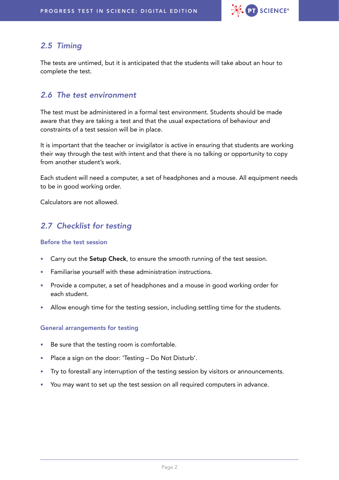

#### *2.5 Timing*

The tests are untimed, but it is anticipated that the students will take about an hour to complete the test.

#### *2.6 The test environment*

The test must be administered in a formal test environment. Students should be made aware that they are taking a test and that the usual expectations of behaviour and constraints of a test session will be in place.

It is important that the teacher or invigilator is active in ensuring that students are working their way through the test with intent and that there is no talking or opportunity to copy from another student's work.

Each student will need a computer, a set of headphones and a mouse. All equipment needs to be in good working order.

Calculators are not allowed.

### *2.7 Checklist for testing*

#### Before the test session

- Carry out the Setup Check, to ensure the smooth running of the test session.
- Familiarise yourself with these administration instructions.
- Provide a computer, a set of headphones and a mouse in good working order for each student.
- Allow enough time for the testing session, including settling time for the students.

#### General arrangements for testing

- Be sure that the testing room is comfortable.
- Place a sign on the door: 'Testing Do Not Disturb'.
- Try to forestall any interruption of the testing session by visitors or announcements.
- You may want to set up the test session on all required computers in advance.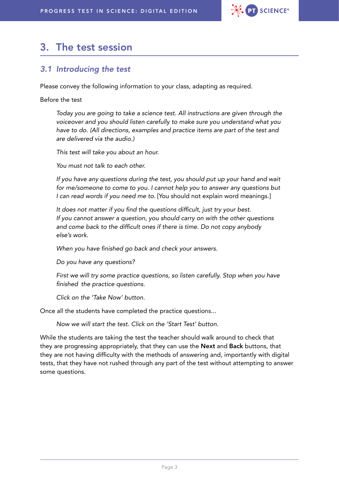

## 3. The test session

#### *3.1 Introducing the test*

Please convey the following information to your class, adapting as required.

Before the test

*Today you are going to take a science test. All instructions are given through the voiceover and you should listen carefully to make sure you understand what you have to do. (All directions, examples and practice items are part of the test and are delivered via the audio.)*

*This test will take you about an hour.*

*You must not talk to each other.*

*If you have any questions during the test, you should put up your hand and wait for me/someone to come to you. I cannot help you to answer any questions but I can read words if you need me to.* [You should not explain word meanings.]

It does not matter if you find the questions difficult, just try your best. *If you cannot answer a question, you should carry on with the other questions*  and come back to the difficult ones if there is time. Do not copy anybody *else's work.*

When you have finished go back and check your answers.

Do you have any questions?

*First we will try some practice questions, so listen carefully. Stop when you have*  finished the practice questions.

*Click on the 'Take Now' button.*

Once all the students have completed the practice questions...

*Now we will start the test. Click on the 'Start Test' button.*

While the students are taking the test the teacher should walk around to check that they are progressing appropriately, that they can use the Next and Back buttons, that they are not having difficulty with the methods of answering and, importantly with digital tests, that they have not rushed through any part of the test without attempting to answer some questions.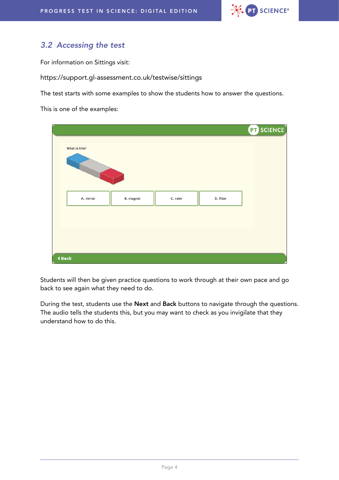

### *3.2 Accessing the test*

For information on Sittings visit:

<https://support.gl-assessment.co.uk/testwise/sittings>

The test starts with some examples to show the students how to answer the questions.

This is one of the examples:

|                      |           |          |           | <b>PT</b> SCIENCE |
|----------------------|-----------|----------|-----------|-------------------|
| What is this?        |           |          |           |                   |
|                      |           |          |           |                   |
|                      |           |          |           |                   |
|                      |           |          |           |                   |
| A. mirror            | B. magnet | C. ruler | D. filter |                   |
|                      |           |          |           |                   |
|                      |           |          |           |                   |
|                      |           |          |           |                   |
| $\blacklozenge$ Back |           |          |           |                   |

Students will then be given practice questions to work through at their own pace and go back to see again what they need to do.

During the test, students use the Next and Back buttons to navigate through the questions. The audio tells the students this, but you may want to check as you invigilate that they understand how to do this.